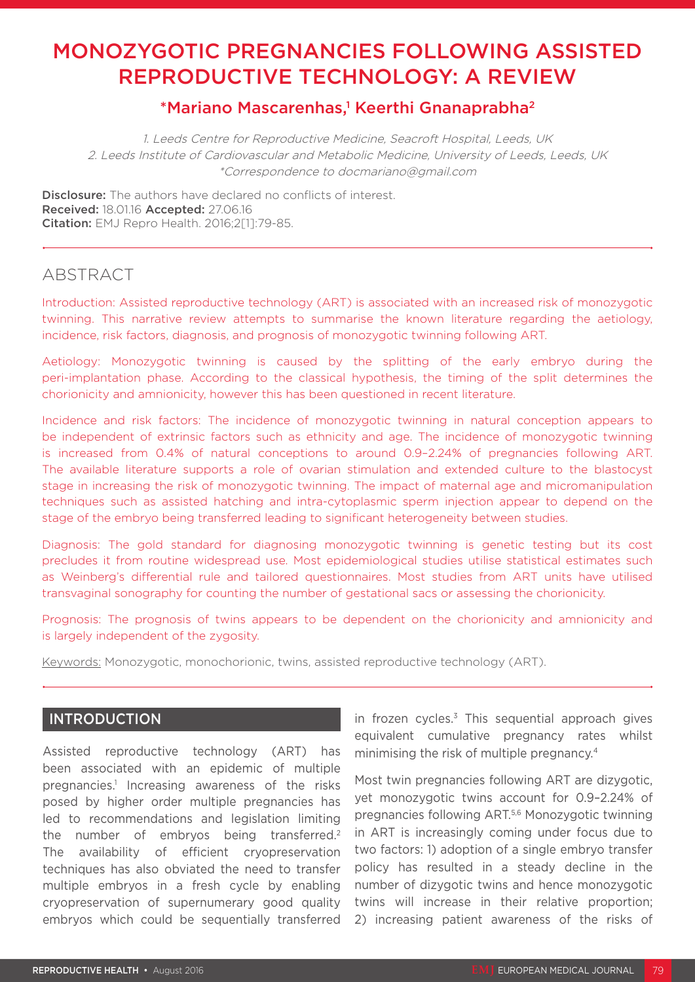# MONOZYGOTIC PREGNANCIES FOLLOWING ASSISTED REPRODUCTIVE TECHNOLOGY: A REVIEW

## \*Mariano Mascarenhas,<sup>1</sup> Keerthi Gnanaprabha<sup>2</sup>

1. Leeds Centre for Reproductive Medicine, Seacroft Hospital, Leeds, UK 2. Leeds Institute of Cardiovascular and Metabolic Medicine, University of Leeds, Leeds, UK \*Correspondence to docmariano@gmail.com

**Disclosure:** The authors have declared no conflicts of interest. Received: 18.01.16 Accepted: 27.06.16 Citation: EMJ Repro Health. 2016;2[1]:79-85.

## ABSTRACT

Introduction: Assisted reproductive technology (ART) is associated with an increased risk of monozygotic twinning. This narrative review attempts to summarise the known literature regarding the aetiology, incidence, risk factors, diagnosis, and prognosis of monozygotic twinning following ART.

Aetiology: Monozygotic twinning is caused by the splitting of the early embryo during the peri-implantation phase. According to the classical hypothesis, the timing of the split determines the chorionicity and amnionicity, however this has been questioned in recent literature.

Incidence and risk factors: The incidence of monozygotic twinning in natural conception appears to be independent of extrinsic factors such as ethnicity and age. The incidence of monozygotic twinning is increased from 0.4% of natural conceptions to around 0.9–2.24% of pregnancies following ART. The available literature supports a role of ovarian stimulation and extended culture to the blastocyst stage in increasing the risk of monozygotic twinning. The impact of maternal age and micromanipulation techniques such as assisted hatching and intra-cytoplasmic sperm injection appear to depend on the stage of the embryo being transferred leading to significant heterogeneity between studies.

Diagnosis: The gold standard for diagnosing monozygotic twinning is genetic testing but its cost precludes it from routine widespread use. Most epidemiological studies utilise statistical estimates such as Weinberg's differential rule and tailored questionnaires. Most studies from ART units have utilised transvaginal sonography for counting the number of gestational sacs or assessing the chorionicity.

Prognosis: The prognosis of twins appears to be dependent on the chorionicity and amnionicity and is largely independent of the zygosity.

Keywords: Monozygotic, monochorionic, twins, assisted reproductive technology (ART).

## INTRODUCTION

Assisted reproductive technology (ART) has been associated with an epidemic of multiple pregnancies.<sup>1</sup> Increasing awareness of the risks posed by higher order multiple pregnancies has led to recommendations and legislation limiting the number of embryos being transferred.<sup>2</sup> The availability of efficient cryopreservation techniques has also obviated the need to transfer multiple embryos in a fresh cycle by enabling cryopreservation of supernumerary good quality embryos which could be sequentially transferred

in frozen cycles.<sup>3</sup> This sequential approach gives equivalent cumulative pregnancy rates whilst minimising the risk of multiple pregnancy.4

Most twin pregnancies following ART are dizygotic, yet monozygotic twins account for 0.9–2.24% of pregnancies following ART.5,6 Monozygotic twinning in ART is increasingly coming under focus due to two factors: 1) adoption of a single embryo transfer policy has resulted in a steady decline in the number of dizygotic twins and hence monozygotic twins will increase in their relative proportion; 2) increasing patient awareness of the risks of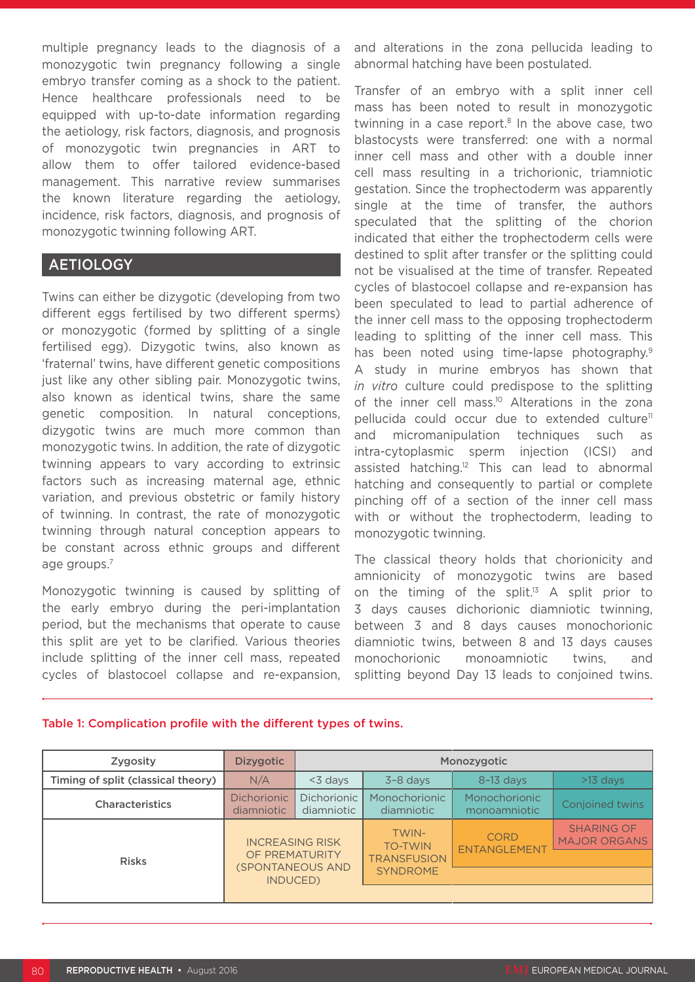multiple pregnancy leads to the diagnosis of a monozygotic twin pregnancy following a single embryo transfer coming as a shock to the patient. Hence healthcare professionals need to be equipped with up-to-date information regarding the aetiology, risk factors, diagnosis, and prognosis of monozygotic twin pregnancies in ART to allow them to offer tailored evidence-based management. This narrative review summarises the known literature regarding the aetiology, incidence, risk factors, diagnosis, and prognosis of monozygotic twinning following ART.

## AETIOLOGY

Twins can either be dizygotic (developing from two different eggs fertilised by two different sperms) or monozygotic (formed by splitting of a single fertilised egg). Dizygotic twins, also known as 'fraternal' twins, have different genetic compositions just like any other sibling pair. Monozygotic twins, also known as identical twins, share the same genetic composition. In natural conceptions, dizygotic twins are much more common than monozygotic twins. In addition, the rate of dizygotic twinning appears to vary according to extrinsic factors such as increasing maternal age, ethnic variation, and previous obstetric or family history of twinning. In contrast, the rate of monozygotic twinning through natural conception appears to be constant across ethnic groups and different age groups.<sup>7</sup>

Monozygotic twinning is caused by splitting of the early embryo during the peri-implantation period, but the mechanisms that operate to cause this split are yet to be clarified. Various theories include splitting of the inner cell mass, repeated cycles of blastocoel collapse and re-expansion, and alterations in the zona pellucida leading to abnormal hatching have been postulated.

Transfer of an embryo with a split inner cell mass has been noted to result in monozygotic twinning in a case report. $8$  In the above case, two blastocysts were transferred: one with a normal inner cell mass and other with a double inner cell mass resulting in a trichorionic, triamniotic gestation. Since the trophectoderm was apparently single at the time of transfer, the authors speculated that the splitting of the chorion indicated that either the trophectoderm cells were destined to split after transfer or the splitting could not be visualised at the time of transfer. Repeated cycles of blastocoel collapse and re-expansion has been speculated to lead to partial adherence of the inner cell mass to the opposing trophectoderm leading to splitting of the inner cell mass. This has been noted using time-lapse photography.<sup>9</sup> A study in murine embryos has shown that *in vitro* culture could predispose to the splitting of the inner cell mass.<sup>10</sup> Alterations in the zona pellucida could occur due to extended culture<sup>11</sup> and micromanipulation techniques such as intra-cytoplasmic sperm injection (ICSI) and assisted hatching.12 This can lead to abnormal hatching and consequently to partial or complete pinching off of a section of the inner cell mass with or without the trophectoderm, leading to monozygotic twinning.

The classical theory holds that chorionicity and amnionicity of monozygotic twins are based on the timing of the split.13 A split prior to 3 days causes dichorionic diamniotic twinning, between 3 and 8 days causes monochorionic diamniotic twins, between 8 and 13 days causes monochorionic monoamniotic twins, and splitting beyond Day 13 leads to conjoined twins.

#### Table 1: Complication profile with the different types of twins.

| Zygosity                           | <b>Dizvgotic</b>                                                                | Monozygotic                      |                                                      |                                    |                                          |
|------------------------------------|---------------------------------------------------------------------------------|----------------------------------|------------------------------------------------------|------------------------------------|------------------------------------------|
| Timing of split (classical theory) | N/A                                                                             | $<$ 3 days                       | $3 - 8$ days                                         | $8-13$ days                        | $>13$ days                               |
| <b>Characteristics</b>             | <b>Dichorionic</b><br>diamniotic                                                | <b>Dichorionic</b><br>diamniotic | Monochorionic<br>diamniotic                          | Monochorionic<br>monoamniotic      | Conjoined twins                          |
| <b>Risks</b>                       | <b>INCREASING RISK</b><br>OF PREMATURITY<br>(SPONTANEOUS AND<br><b>INDUCED)</b> |                                  | <b>TWIN-</b><br><b>TO-TWIN</b><br><b>TRANSFUSION</b> | <b>CORD</b><br><b>ENTANGLEMENT</b> | <b>SHARING OF</b><br><b>MAJOR ORGANS</b> |
|                                    |                                                                                 |                                  | <b>SYNDROME</b>                                      |                                    |                                          |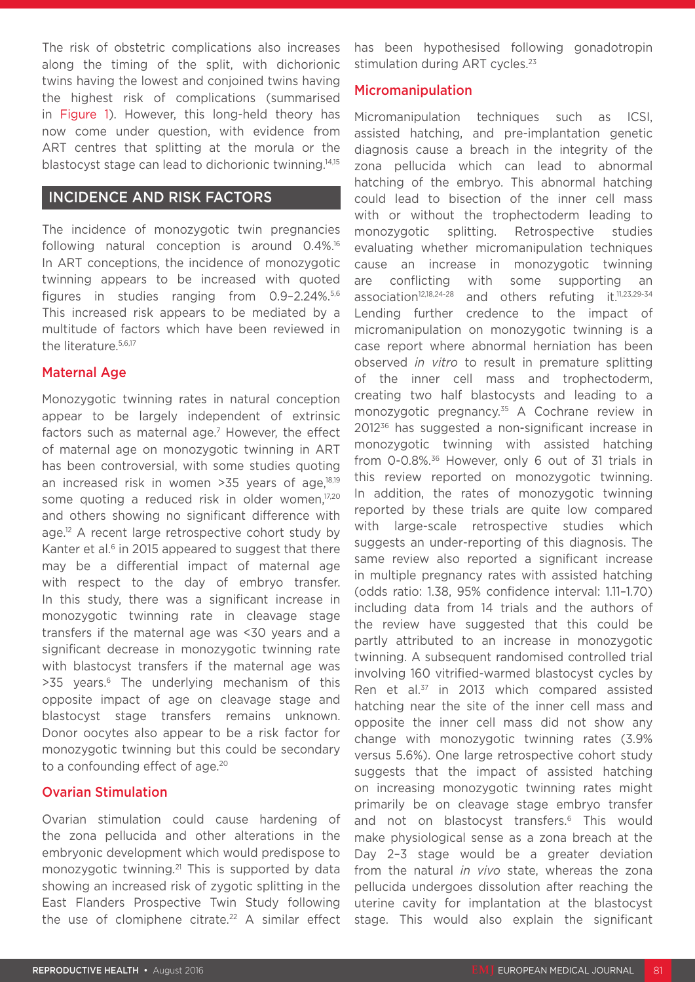The risk of obstetric complications also increases along the timing of the split, with dichorionic twins having the lowest and conjoined twins having the highest risk of complications (summarised in Figure 1). However, this long-held theory has now come under question, with evidence from ART centres that splitting at the morula or the blastocyst stage can lead to dichorionic twinning.14,15

## INCIDENCE AND RISK FACTORS

The incidence of monozygotic twin pregnancies following natural conception is around 0.4%.16 In ART conceptions, the incidence of monozygotic twinning appears to be increased with quoted figures in studies ranging from 0.9–2.24%.5,6 This increased risk appears to be mediated by a multitude of factors which have been reviewed in the literature.5,6,17

#### Maternal Age

Monozygotic twinning rates in natural conception appear to be largely independent of extrinsic factors such as maternal age.<sup>7</sup> However, the effect of maternal age on monozygotic twinning in ART has been controversial, with some studies quoting an increased risk in women >35 years of age,18,19 some quoting a reduced risk in older women,<sup>17,20</sup> and others showing no significant difference with age.12 A recent large retrospective cohort study by Kanter et al.<sup>6</sup> in 2015 appeared to suggest that there may be a differential impact of maternal age with respect to the day of embryo transfer. In this study, there was a significant increase in monozygotic twinning rate in cleavage stage transfers if the maternal age was <30 years and a significant decrease in monozygotic twinning rate with blastocyst transfers if the maternal age was  $>35$  years.<sup>6</sup> The underlying mechanism of this opposite impact of age on cleavage stage and blastocyst stage transfers remains unknown. Donor oocytes also appear to be a risk factor for monozygotic twinning but this could be secondary to a confounding effect of age.20

#### Ovarian Stimulation

Ovarian stimulation could cause hardening of the zona pellucida and other alterations in the embryonic development which would predispose to monozygotic twinning.<sup>21</sup> This is supported by data showing an increased risk of zygotic splitting in the East Flanders Prospective Twin Study following the use of clomiphene citrate.<sup>22</sup> A similar effect

has been hypothesised following gonadotropin stimulation during ART cycles.<sup>23</sup>

### Micromanipulation

Micromanipulation techniques such as ICSI, assisted hatching, and pre-implantation genetic diagnosis cause a breach in the integrity of the zona pellucida which can lead to abnormal hatching of the embryo. This abnormal hatching could lead to bisection of the inner cell mass with or without the trophectoderm leading to monozygotic splitting. Retrospective studies evaluating whether micromanipulation techniques cause an increase in monozygotic twinning are conflicting with some supporting an association12,18,24-28 and others refuting it.11,23,29-34 Lending further credence to the impact of micromanipulation on monozygotic twinning is a case report where abnormal herniation has been observed *in vitro* to result in premature splitting of the inner cell mass and trophectoderm, creating two half blastocysts and leading to a monozygotic pregnancy.<sup>35</sup> A Cochrane review in 201236 has suggested a non-significant increase in monozygotic twinning with assisted hatching from 0-0.8%.36 However, only 6 out of 31 trials in this review reported on monozygotic twinning. In addition, the rates of monozygotic twinning reported by these trials are quite low compared with large-scale retrospective studies which suggests an under-reporting of this diagnosis. The same review also reported a significant increase in multiple pregnancy rates with assisted hatching (odds ratio: 1.38, 95% confidence interval: 1.11–1.70) including data from 14 trials and the authors of the review have suggested that this could be partly attributed to an increase in monozygotic twinning. A subsequent randomised controlled trial involving 160 vitrified-warmed blastocyst cycles by Ren et al.<sup>37</sup> in 2013 which compared assisted hatching near the site of the inner cell mass and opposite the inner cell mass did not show any change with monozygotic twinning rates (3.9% versus 5.6%). One large retrospective cohort study suggests that the impact of assisted hatching on increasing monozygotic twinning rates might primarily be on cleavage stage embryo transfer and not on blastocyst transfers.<sup>6</sup> This would make physiological sense as a zona breach at the Day 2–3 stage would be a greater deviation from the natural *in vivo* state, whereas the zona pellucida undergoes dissolution after reaching the uterine cavity for implantation at the blastocyst stage. This would also explain the significant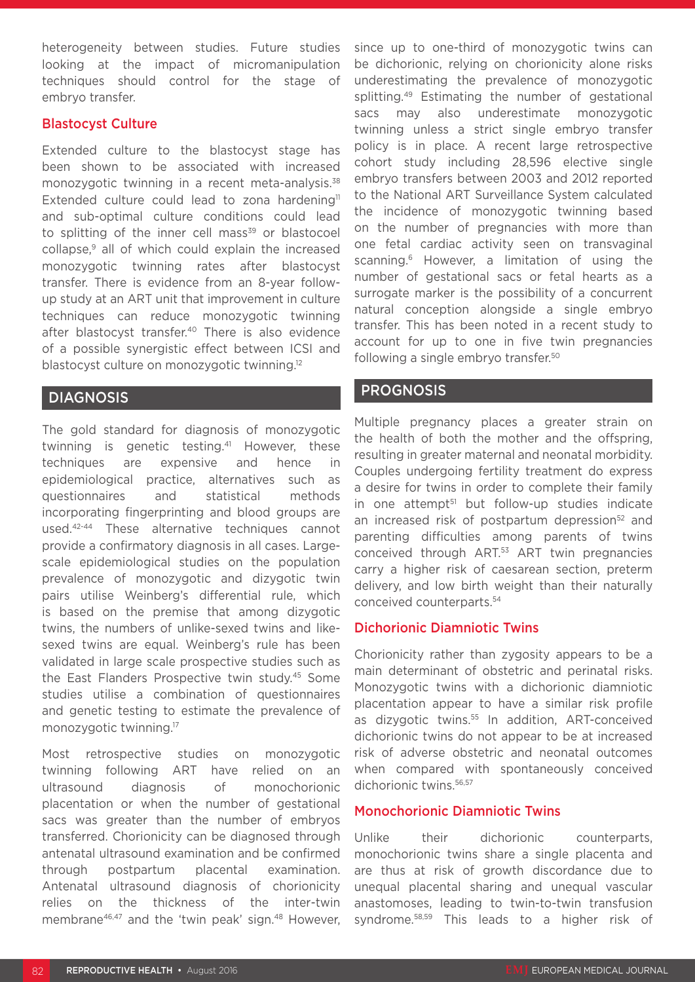heterogeneity between studies. Future studies looking at the impact of micromanipulation techniques should control for the stage of embryo transfer.

#### Blastocyst Culture

Extended culture to the blastocyst stage has been shown to be associated with increased monozygotic twinning in a recent meta-analysis.<sup>38</sup> Extended culture could lead to zona hardening<sup>11</sup> and sub-optimal culture conditions could lead to splitting of the inner cell mass $39$  or blastocoel collapse,9 all of which could explain the increased monozygotic twinning rates after blastocyst transfer. There is evidence from an 8-year followup study at an ART unit that improvement in culture techniques can reduce monozygotic twinning after blastocyst transfer.<sup>40</sup> There is also evidence of a possible synergistic effect between ICSI and blastocyst culture on monozygotic twinning.12

#### **DIAGNOSIS**

The gold standard for diagnosis of monozygotic twinning is genetic testing.41 However, these techniques are expensive and hence in epidemiological practice, alternatives such as questionnaires and statistical methods incorporating fingerprinting and blood groups are used.42-44 These alternative techniques cannot provide a confirmatory diagnosis in all cases. Largescale epidemiological studies on the population prevalence of monozygotic and dizygotic twin pairs utilise Weinberg's differential rule, which is based on the premise that among dizygotic twins, the numbers of unlike-sexed twins and likesexed twins are equal. Weinberg's rule has been validated in large scale prospective studies such as the East Flanders Prospective twin study.45 Some studies utilise a combination of questionnaires and genetic testing to estimate the prevalence of monozygotic twinning.17

Most retrospective studies on monozygotic twinning following ART have relied on an ultrasound diagnosis of monochorionic placentation or when the number of gestational sacs was greater than the number of embryos transferred. Chorionicity can be diagnosed through antenatal ultrasound examination and be confirmed through postpartum placental examination. Antenatal ultrasound diagnosis of chorionicity relies on the thickness of the inter-twin membrane<sup>46,47</sup> and the 'twin peak' sign.<sup>48</sup> However,

since up to one-third of monozygotic twins can be dichorionic, relying on chorionicity alone risks underestimating the prevalence of monozygotic splitting.49 Estimating the number of gestational sacs may also underestimate monozygotic twinning unless a strict single embryo transfer policy is in place. A recent large retrospective cohort study including 28,596 elective single embryo transfers between 2003 and 2012 reported to the National ART Surveillance System calculated the incidence of monozygotic twinning based on the number of pregnancies with more than one fetal cardiac activity seen on transvaginal scanning.<sup>6</sup> However, a limitation of using the number of gestational sacs or fetal hearts as a surrogate marker is the possibility of a concurrent natural conception alongside a single embryo transfer. This has been noted in a recent study to account for up to one in five twin pregnancies following a single embryo transfer.50

#### **PROGNOSIS**

Multiple pregnancy places a greater strain on the health of both the mother and the offspring, resulting in greater maternal and neonatal morbidity. Couples undergoing fertility treatment do express a desire for twins in order to complete their family in one attempt<sup>51</sup> but follow-up studies indicate an increased risk of postpartum depression<sup>52</sup> and parenting difficulties among parents of twins conceived through ART.53 ART twin pregnancies carry a higher risk of caesarean section, preterm delivery, and low birth weight than their naturally conceived counterparts.54

#### Dichorionic Diamniotic Twins

Chorionicity rather than zygosity appears to be a main determinant of obstetric and perinatal risks. Monozygotic twins with a dichorionic diamniotic placentation appear to have a similar risk profile as dizygotic twins.<sup>55</sup> In addition, ART-conceived dichorionic twins do not appear to be at increased risk of adverse obstetric and neonatal outcomes when compared with spontaneously conceived dichorionic twins.<sup>56,57</sup>

#### Monochorionic Diamniotic Twins

Unlike their dichorionic counterparts, monochorionic twins share a single placenta and are thus at risk of growth discordance due to unequal placental sharing and unequal vascular anastomoses, leading to twin-to-twin transfusion syndrome.58,59 This leads to a higher risk of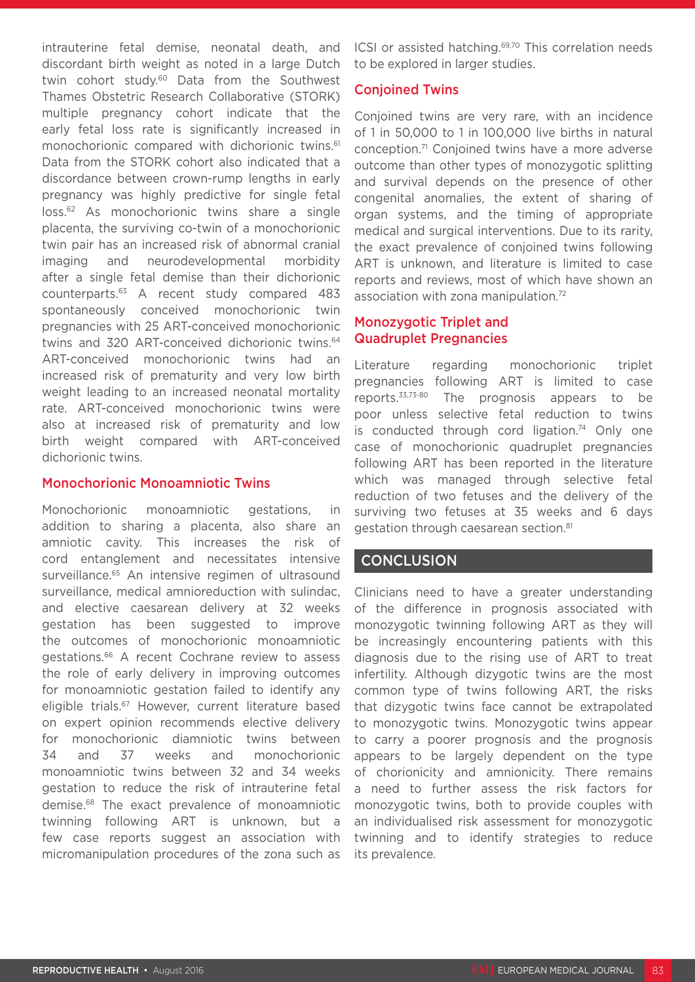intrauterine fetal demise, neonatal death, and discordant birth weight as noted in a large Dutch twin cohort study.60 Data from the Southwest Thames Obstetric Research Collaborative (STORK) multiple pregnancy cohort indicate that the early fetal loss rate is significantly increased in monochorionic compared with dichorionic twins.<sup>61</sup> Data from the STORK cohort also indicated that a discordance between crown-rump lengths in early pregnancy was highly predictive for single fetal loss.62 As monochorionic twins share a single placenta, the surviving co-twin of a monochorionic twin pair has an increased risk of abnormal cranial imaging and neurodevelopmental morbidity after a single fetal demise than their dichorionic counterparts.63 A recent study compared 483 spontaneously conceived monochorionic twin pregnancies with 25 ART-conceived monochorionic twins and 320 ART-conceived dichorionic twins.<sup>64</sup> ART-conceived monochorionic twins had an increased risk of prematurity and very low birth weight leading to an increased neonatal mortality rate. ART-conceived monochorionic twins were also at increased risk of prematurity and low birth weight compared with ART-conceived dichorionic twins.

#### Monochorionic Monoamniotic Twins

Monochorionic monoamniotic gestations, in addition to sharing a placenta, also share an amniotic cavity. This increases the risk of cord entanglement and necessitates intensive surveillance.<sup>65</sup> An intensive regimen of ultrasound surveillance, medical amnioreduction with sulindac, and elective caesarean delivery at 32 weeks gestation has been suggested to improve the outcomes of monochorionic monoamniotic gestations.<sup>66</sup> A recent Cochrane review to assess the role of early delivery in improving outcomes for monoamniotic gestation failed to identify any eligible trials.67 However, current literature based on expert opinion recommends elective delivery for monochorionic diamniotic twins between 34 and 37 weeks and monochorionic monoamniotic twins between 32 and 34 weeks gestation to reduce the risk of intrauterine fetal demise.68 The exact prevalence of monoamniotic twinning following ART is unknown, but a few case reports suggest an association with micromanipulation procedures of the zona such as

ICSI or assisted hatching.<sup>69,70</sup> This correlation needs to be explored in larger studies.

## Conjoined Twins

Conjoined twins are very rare, with an incidence of 1 in 50,000 to 1 in 100,000 live births in natural conception.71 Conjoined twins have a more adverse outcome than other types of monozygotic splitting and survival depends on the presence of other congenital anomalies, the extent of sharing of organ systems, and the timing of appropriate medical and surgical interventions. Due to its rarity, the exact prevalence of conjoined twins following ART is unknown, and literature is limited to case reports and reviews, most of which have shown an association with zona manipulation.72

## Monozygotic Triplet and Quadruplet Pregnancies

Literature regarding monochorionic triplet pregnancies following ART is limited to case reports.33,73-80 The prognosis appears to be poor unless selective fetal reduction to twins is conducted through cord ligation.<sup>74</sup> Only one case of monochorionic quadruplet pregnancies following ART has been reported in the literature which was managed through selective fetal reduction of two fetuses and the delivery of the surviving two fetuses at 35 weeks and 6 days gestation through caesarean section.<sup>81</sup>

## **CONCLUSION**

Clinicians need to have a greater understanding of the difference in prognosis associated with monozygotic twinning following ART as they will be increasingly encountering patients with this diagnosis due to the rising use of ART to treat infertility. Although dizygotic twins are the most common type of twins following ART, the risks that dizygotic twins face cannot be extrapolated to monozygotic twins. Monozygotic twins appear to carry a poorer prognosis and the prognosis appears to be largely dependent on the type of chorionicity and amnionicity. There remains a need to further assess the risk factors for monozygotic twins, both to provide couples with an individualised risk assessment for monozygotic twinning and to identify strategies to reduce its prevalence.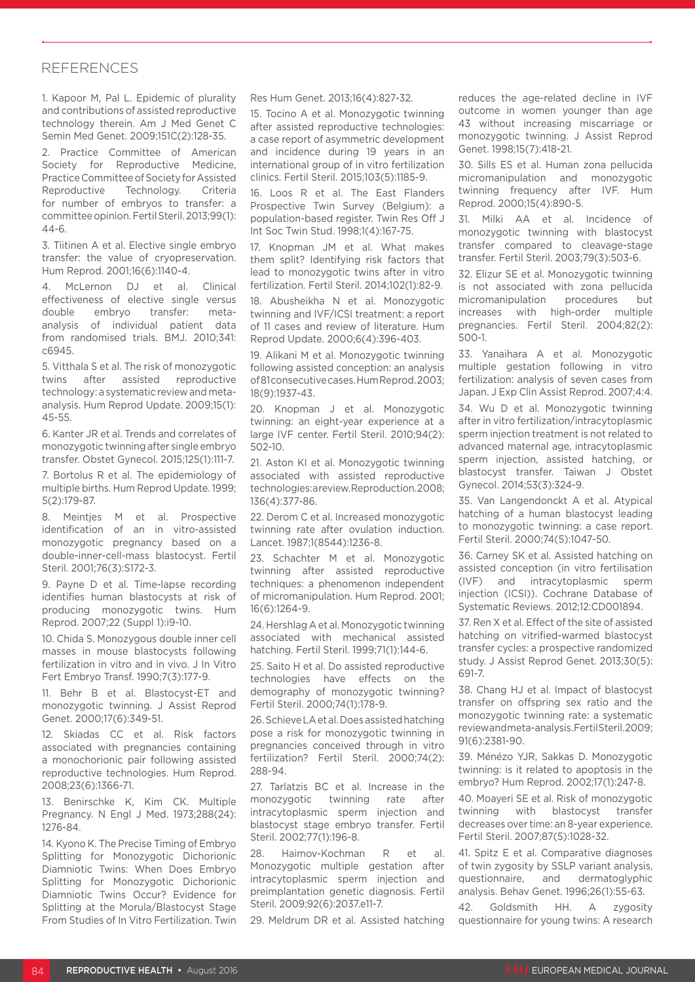#### REFERENCES

1. Kapoor M, Pal L. Epidemic of plurality and contributions of assisted reproductive technology therein. Am J Med Genet C Semin Med Genet. 2009;151C(2):128-35.

2. Practice Committee of American Society for Reproductive Medicine, Practice Committee of Society for Assisted Reproductive Technology. Criteria for number of embryos to transfer: a committee opinion. Fertil Steril. 2013;99(1): 44-6.

3. Tiitinen A et al. Elective single embryo transfer: the value of cryopreservation. Hum Reprod. 2001;16(6):1140-4.

4. McLernon DJ et al. Clinical effectiveness of elective single versus double embryo transfer: metaanalysis of individual patient data from randomised trials. BMJ. 2010;341: c6945.

5. Vitthala S et al. The risk of monozygotic twins after assisted reproductive technology: a systematic review and metaanalysis. Hum Reprod Update. 2009;15(1): 45-55.

6. Kanter JR et al. Trends and correlates of monozygotic twinning after single embryo transfer. Obstet Gynecol. 2015;125(1):111-7.

7. Bortolus R et al. The epidemiology of multiple births. Hum Reprod Update. 1999; 5(2):179-87.

8. Meintjes M et al. Prospective identification of an in vitro-assisted monozygotic pregnancy based on a double-inner-cell-mass blastocyst. Fertil Steril. 2001;76(3):S172-3.

9. Payne D et al. Time-lapse recording identifies human blastocysts at risk of producing monozygotic twins. Hum Reprod. 2007;22 (Suppl 1):i9-10.

10. Chida S. Monozygous double inner cell masses in mouse blastocysts following fertilization in vitro and in vivo. J In Vitro Fert Embryo Transf. 1990;7(3):177-9.

11. Behr B et al. Blastocyst-ET and monozygotic twinning. J Assist Reprod Genet. 2000;17(6):349-51.

12. Skiadas CC et al. Risk factors associated with pregnancies containing a monochorionic pair following assisted reproductive technologies. Hum Reprod. 2008;23(6):1366-71.

13. Benirschke K, Kim CK. Multiple Pregnancy. N Engl J Med. 1973;288(24): 1276-84.

14. Kyono K. The Precise Timing of Embryo Splitting for Monozygotic Dichorionic Diamniotic Twins: When Does Embryo Splitting for Monozygotic Dichorionic Diamniotic Twins Occur? Evidence for Splitting at the Morula/Blastocyst Stage From Studies of In Vitro Fertilization. Twin Res Hum Genet. 2013;16(4):827-32.

15. Tocino A et al. Monozygotic twinning after assisted reproductive technologies: a case report of asymmetric development and incidence during 19 years in an international group of in vitro fertilization clinics. Fertil Steril. 2015;103(5):1185-9.

16. Loos R et al. The East Flanders Prospective Twin Survey (Belgium): a population-based register. Twin Res Off J Int Soc Twin Stud. 1998;1(4):167-75.

17. Knopman JM et al. What makes them split? Identifying risk factors that lead to monozygotic twins after in vitro fertilization. Fertil Steril. 2014;102(1):82-9.

18. Abusheikha N et al. Monozygotic twinning and IVF/ICSI treatment: a report of 11 cases and review of literature. Hum Reprod Update. 2000;6(4):396-403.

19. Alikani M et al. Monozygotic twinning following assisted conception: an analysis of 81 consecutive cases. Hum Reprod. 2003; 18(9):1937-43.

20. Knopman J et al. Monozygotic twinning: an eight-year experience at a large IVF center. Fertil Steril. 2010;94(2): 502-10.

21. Aston KI et al. Monozygotic twinning associated with assisted reproductive technologies: a review. Reproduction. 2008; 136(4):377-86.

22. Derom C et al. Increased monozygotic twinning rate after ovulation induction. Lancet. 1987;1(8544):1236-8.

23. Schachter M et al. Monozygotic twinning after assisted reproductive techniques: a phenomenon independent of micromanipulation. Hum Reprod. 2001; 16(6):1264-9.

24. Hershlag A et al. Monozygotic twinning associated with mechanical assisted hatching. Fertil Steril. 1999;71(1):144-6.

25. Saito H et al. Do assisted reproductive technologies have effects on the demography of monozygotic twinning? Fertil Steril. 2000;74(1):178-9.

26. Schieve LA et al. Does assisted hatching pose a risk for monozygotic twinning in pregnancies conceived through in vitro fertilization? Fertil Steril. 2000;74(2): 288-94.

27. Tarlatzis BC et al. Increase in the monozygotic twinning rate after intracytoplasmic sperm injection and blastocyst stage embryo transfer. Fertil Steril. 2002;77(1):196-8.

28. Haimov-Kochman R et al. Monozygotic multiple gestation after intracytoplasmic sperm injection and preimplantation genetic diagnosis. Fertil Steril. 2009;92(6):2037.e11-7.

29. Meldrum DR et al. Assisted hatching

reduces the age-related decline in IVF outcome in women younger than age 43 without increasing miscarriage or monozygotic twinning. J Assist Reprod Genet. 1998;15(7):418-21.

30. Sills ES et al. Human zona pellucida micromanipulation and monozygotic twinning frequency after IVF. Hum Reprod. 2000;15(4):890-5.

31. Milki AA et al. Incidence of monozygotic twinning with blastocyst transfer compared to cleavage-stage transfer. Fertil Steril. 2003;79(3):503-6.

32. Elizur SE et al. Monozygotic twinning is not associated with zona pellucida micromanipulation procedures but increases with high-order multiple pregnancies. Fertil Steril. 2004;82(2): 500-1.

33. Yanaihara A et al. Monozygotic multiple gestation following in vitro fertilization: analysis of seven cases from Japan. J Exp Clin Assist Reprod. 2007;4:4.

34. Wu D et al. Monozygotic twinning after in vitro fertilization/intracytoplasmic sperm injection treatment is not related to advanced maternal age, intracytoplasmic sperm injection, assisted hatching, or blastocyst transfer. Taiwan J Obstet Gynecol. 2014;53(3):324-9.

35. Van Langendonckt A et al. Atypical hatching of a human blastocyst leading to monozygotic twinning: a case report. Fertil Steril. 2000;74(5):1047-50.

36. Carney SK et al. Assisted hatching on assisted conception (in vitro fertilisation (IVF) and intracytoplasmic sperm injection (ICSI)). Cochrane Database of Systematic Reviews. 2012;12:CD001894.

37. Ren X et al. Effect of the site of assisted hatching on vitrified-warmed blastocyst transfer cycles: a prospective randomized study. J Assist Reprod Genet. 2013;30(5): 691-7.

38. Chang HJ et al. Impact of blastocyst transfer on offspring sex ratio and the monozygotic twinning rate: a systematic review and meta-analysis. Fertil Steril. 2009; 91(6):2381-90.

39. Ménézo YJR, Sakkas D. Monozygotic twinning: is it related to apoptosis in the embryo? Hum Reprod. 2002;17(1):247-8.

40. Moayeri SE et al. Risk of monozygotic twinning with blastocyst transfer decreases over time: an 8-year experience. Fertil Steril. 2007;87(5):1028-32.

41. Spitz E et al. Comparative diagnoses of twin zygosity by SSLP variant analysis, questionnaire, and dermatoglyphic analysis. Behav Genet. 1996;26(1):55-63.

42. Goldsmith HH. A zygosity questionnaire for young twins: A research